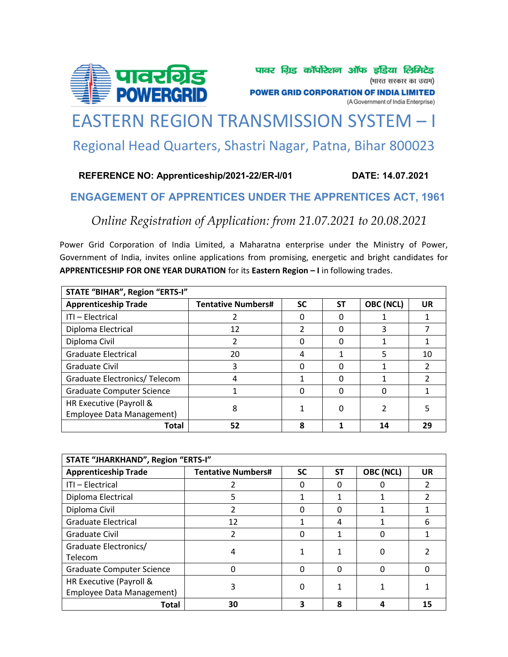

# [EASTERN REGION TRANSMISSION SYSTEM](https://govtjobsalert.in/) – I Regional Head Quarters, Shastri Nagar, Patna, Bihar 800023

## **REFERENCE NO: Apprenticeship/2021-22/ER-I/01 DATE: 14.07.2021**

# **ENGAGEMENT OF APPRENTICES UNDER THE APPRENTICES ACT, 1961**

*Online Registration of Application: from 21.07.2021 to 20.08.2021*

Power Grid Corporation of India Limited, a Maharatna enterprise under the Ministry of Power, Government of India, invites online applications from promising, energetic and bright candidates for **APPRENTICESHIP FOR ONE YEAR DURATION** for its **Eastern Region – I** in following trades.

| STATE "BIHAR", Region "ERTS-I"   |                           |           |    |           |           |  |  |  |
|----------------------------------|---------------------------|-----------|----|-----------|-----------|--|--|--|
| <b>Apprenticeship Trade</b>      | <b>Tentative Numbers#</b> | <b>SC</b> | SΤ | OBC (NCL) | <b>UR</b> |  |  |  |
| ITI - Electrical                 |                           | O         |    |           |           |  |  |  |
| Diploma Electrical               | 12                        | 2         | 0  | 3         |           |  |  |  |
| Diploma Civil                    | $\mathcal{P}$             | 0         | 0  |           |           |  |  |  |
| <b>Graduate Electrical</b>       | 20                        | 4         |    | 5         | 10        |  |  |  |
| Graduate Civil                   | 3                         | 0         | O  |           |           |  |  |  |
| Graduate Electronics/Telecom     |                           |           | O  |           |           |  |  |  |
| <b>Graduate Computer Science</b> |                           | O         | 0  | O         |           |  |  |  |
| HR Executive (Payroll &          | 8                         |           | 0  |           |           |  |  |  |
| Employee Data Management)        |                           |           |    |           |           |  |  |  |
| Total                            | 52                        | 8         |    | 14        | 29        |  |  |  |

| STATE "JHARKHAND", Region "ERTS-I" |                           |           |              |           |           |  |  |  |
|------------------------------------|---------------------------|-----------|--------------|-----------|-----------|--|--|--|
| <b>Apprenticeship Trade</b>        | <b>Tentative Numbers#</b> | <b>SC</b> | <b>ST</b>    | OBC (NCL) | <b>UR</b> |  |  |  |
| ITI - Electrical                   |                           | 0         | O            |           |           |  |  |  |
| Diploma Electrical                 | 5                         |           |              |           |           |  |  |  |
| Diploma Civil                      |                           | 0         | <sup>0</sup> |           |           |  |  |  |
| <b>Graduate Electrical</b>         | 12                        |           | 4            |           | 6         |  |  |  |
| Graduate Civil                     |                           | 0         |              |           |           |  |  |  |
| Graduate Electronics/              | 4                         |           |              | 0         |           |  |  |  |
| Telecom                            |                           |           |              |           |           |  |  |  |
| <b>Graduate Computer Science</b>   |                           | $\Omega$  | ∩            | ი         |           |  |  |  |
| HR Executive (Payroll &            |                           | 0         |              |           |           |  |  |  |
| Employee Data Management)          |                           |           |              |           |           |  |  |  |
| Total                              | 30                        | 3         | Զ            |           | 15        |  |  |  |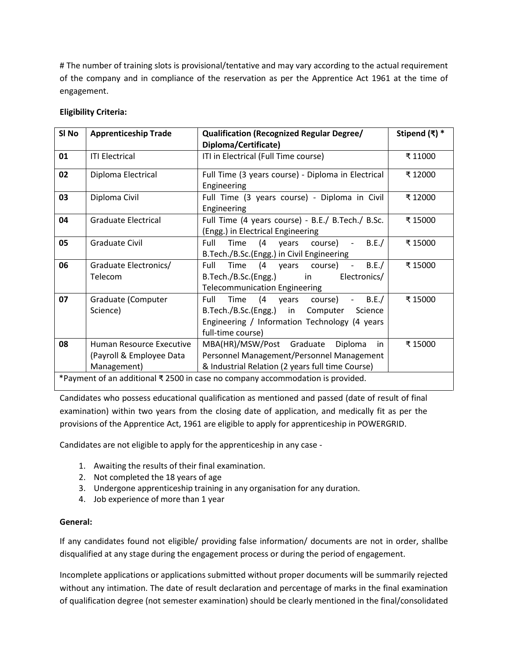# The number of training slots is provisional/tentative and may vary according to the actual requirement [of the company and in compliance of the reservation as per the Apprentice Act 1961 at the time of](https://govtjobsalert.in/)  engagement.

#### **Eligibility Criteria:**

| SI No | <b>Apprenticeship Trade</b>                                                    | <b>Qualification (Recognized Regular Degree/</b>             | Stipend $(\bar{x})$ * |  |  |  |
|-------|--------------------------------------------------------------------------------|--------------------------------------------------------------|-----------------------|--|--|--|
|       |                                                                                | Diploma/Certificate)                                         |                       |  |  |  |
| 01    | <b>ITI Electrical</b>                                                          | ITI in Electrical (Full Time course)                         | ₹11000                |  |  |  |
| 02    | Diploma Electrical                                                             | Full Time (3 years course) - Diploma in Electrical           | ₹12000                |  |  |  |
|       |                                                                                | Engineering                                                  |                       |  |  |  |
| 03    | Diploma Civil                                                                  | Full Time (3 years course) - Diploma in Civil                | ₹12000                |  |  |  |
|       |                                                                                | Engineering                                                  |                       |  |  |  |
| 04    | <b>Graduate Electrical</b>                                                     | Full Time (4 years course) - B.E./ B.Tech./ B.Sc.<br>₹ 15000 |                       |  |  |  |
|       |                                                                                | (Engg.) in Electrical Engineering                            |                       |  |  |  |
| 05    | Graduate Civil                                                                 | B.E./<br>Time (4<br>Full<br>course) -<br>years               | ₹ 15000               |  |  |  |
|       |                                                                                | B.Tech./B.Sc.(Engg.) in Civil Engineering                    |                       |  |  |  |
| 06    | Graduate Electronics/                                                          | (4 years course) -<br>Time<br>Full<br>B.E./                  | ₹15000                |  |  |  |
|       | Telecom                                                                        | B.Tech./B.Sc.(Engg.) in<br>Electronics/                      |                       |  |  |  |
|       |                                                                                | <b>Telecommunication Engineering</b>                         |                       |  |  |  |
| 07    | Graduate (Computer                                                             | Time (4 years course)<br>$-B.E./$<br>Full                    | ₹ 15000               |  |  |  |
|       | Science)                                                                       | B.Tech./B.Sc.(Engg.) in Computer<br>Science                  |                       |  |  |  |
|       |                                                                                | Engineering / Information Technology (4 years                |                       |  |  |  |
|       |                                                                                | full-time course)                                            |                       |  |  |  |
| 08    | Human Resource Executive                                                       | MBA(HR)/MSW/Post Graduate<br>Diploma<br>in                   | ₹ 15000               |  |  |  |
|       | (Payroll & Employee Data                                                       | Personnel Management/Personnel Management                    |                       |  |  |  |
|       | Management)                                                                    | & Industrial Relation (2 years full time Course)             |                       |  |  |  |
|       | *Payment of an additional ₹ 2500 in case no company accommodation is provided. |                                                              |                       |  |  |  |

Candidates who possess educational qualification as mentioned and passed (date of result of final examination) within two years from the closing date of application, and medically fit as per the provisions of the Apprentice Act, 1961 are eligible to apply for apprenticeship in POWERGRID.

Candidates are not eligible to apply for the apprenticeship in any case -

- 1. Awaiting the results of their final examination.
- 2. Not completed the 18 years of age
- 3. Undergone apprenticeship training in any organisation for any duration.
- 4. Job experience of more than 1 year

#### **General:**

If any candidates found not eligible/ providing false information/ documents are not in order, shallbe disqualified at any stage during the engagement process or during the period of engagement.

Incomplete applications or applications submitted without proper documents will be summarily rejected without any intimation. The date of result declaration and percentage of marks in the final examination of qualification degree (not semester examination) should be clearly mentioned in the final/consolidated